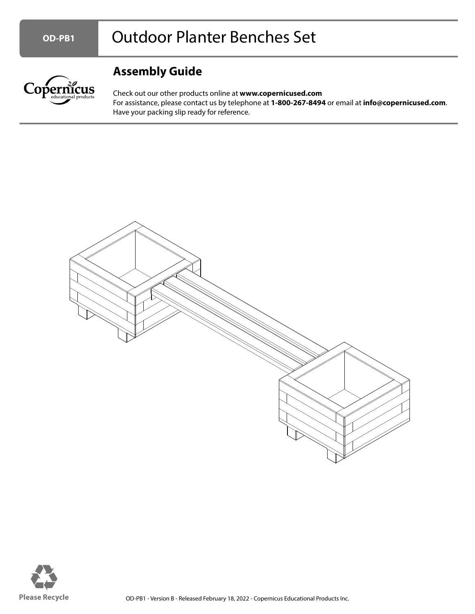

## **Assembly Guide**

Check out our other products online at **www.copernicused.com** For assistance, please contact us by telephone at **1-800-267-8494** or email at **info@copernicused.com**. Have your packing slip ready for reference.



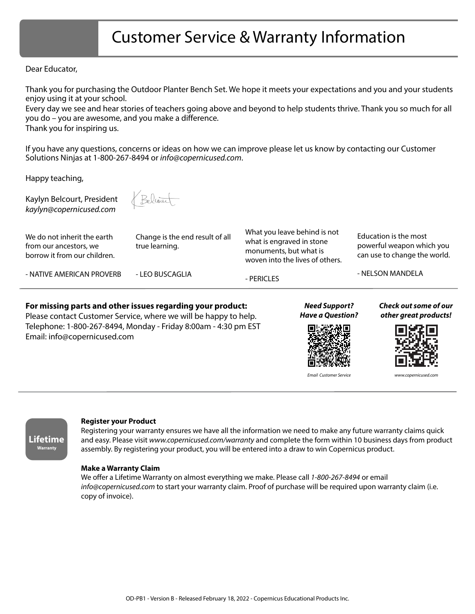## Customer Service & Warranty Information

#### Dear Educator,

Thank you for purchasing the Outdoor Planter Bench Set. We hope it meets your expectations and you and your students enjoy using it at your school.

Every day we see and hear stories of teachers going above and beyond to help students thrive. Thank you so much for all you do – you are awesome, and you make a difference.

Thank you for inspiring us.

If you have any questions, concerns or ideas on how we can improve please let us know by contacting our Customer Solutions Ninjas at 1-800-267-8494 or info@copernicused.com.

Happy teaching,

Kaylyn Belcourt, President kaylyn@copernicused.com

Belcom

**For missing parts and other issues regarding your product:** Please contact Customer Service, where we will be happy to help. Telephone: 1-800-267-8494, Monday - Friday 8:00am - 4:30 pm EST

We do not inherit the earth from our ancestors, we borrow it from our children.

true learning.

Change is the end result of all

What you leave behind is not what is engraved in stone monuments, but what is woven into the lives of others.

Education is the most powerful weapon which you can use to change the world.

- NATIVE AMERICAN PROVERB

Email: info@copernicused.com

- LEO BUSCAGLIA

- PERICLES

- NELSON MANDELA

**Need Support? Have a Question?**



**Check out some of our other great products!**



Email Customer Service www.copernicused.com



#### **Register your Product**

Registering your warranty ensures we have all the information we need to make any future warranty claims quick and easy. Please visit www.copernicused.com/warranty and complete the form within 10 business days from product assembly. By registering your product, you will be entered into a draw to win Copernicus product.

#### **Make a Warranty Claim**

We offer a Lifetime Warranty on almost everything we make. Please call 1-800-267-8494 or email info@copernicused.com to start your warranty claim. Proof of purchase will be required upon warranty claim (i.e. copy of invoice).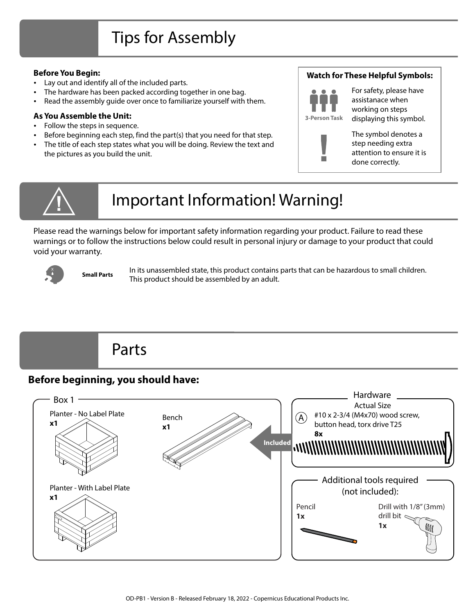# Tips for Assembly

#### **Before You Begin:**

- Lay out and identify all of the included parts.
- The hardware has been packed according together in one bag.
- Read the assembly guide over once to familiarize yourself with them.

#### **As You Assemble the Unit:**

- Follow the steps in sequence.
- Before beginning each step, find the part(s) that you need for that step. The title of each step states what you will be doing. Review the text and
- the pictures as you build the unit.

### **Watch for These Helpful Symbols:**



For safety, please have assistanace when working on steps displaying this symbol.



The symbol denotes a step needing extra attention to ensure it is done correctly.



# Important Information! Warning!

Please read the warnings below for important safety information regarding your product. Failure to read these warnings or to follow the instructions below could result in personal injury or damage to your product that could void your warranty.



In its unassembled state, this product contains parts that can be hazardous to small children. This product should be assembled by an adult. **Small Parts**

# Parts

## **Before beginning, you should have:**

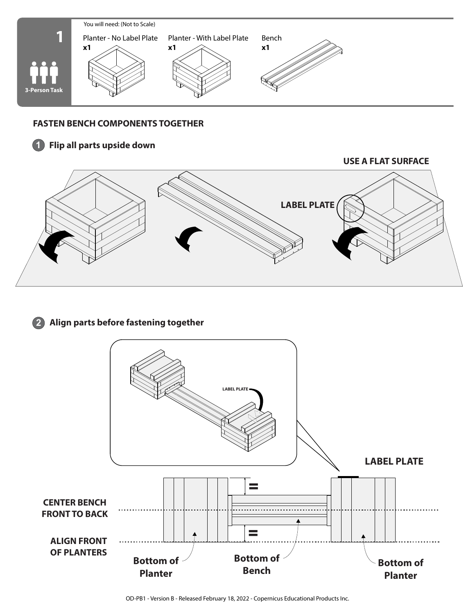

### **FASTEN BENCH COMPONENTS TOGETHER**

### **1 Flip all parts upside down**

**USE A FLAT SURFACE**



### **2 Align parts before fastening together**